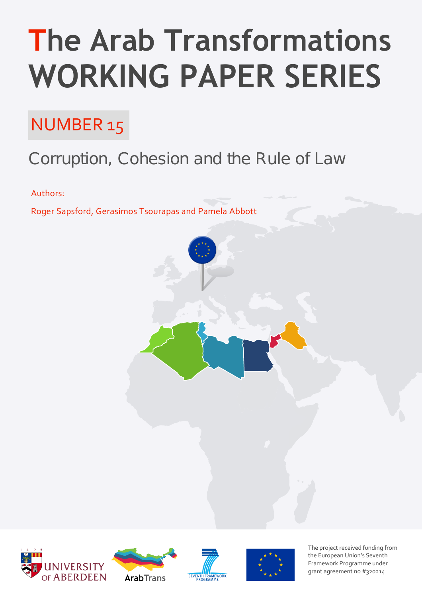# **The Arab Transformations WORKING PAPER SERIES**

# NUMBER 15

# Corruption, Cohesion and the Rule of Law

# Authors:

Roger Sapsford, Gerasimos Tsourapas and Pamela Abbott









The project received funding from the European Union's Seventh Framework Programme under grant agreement no #320214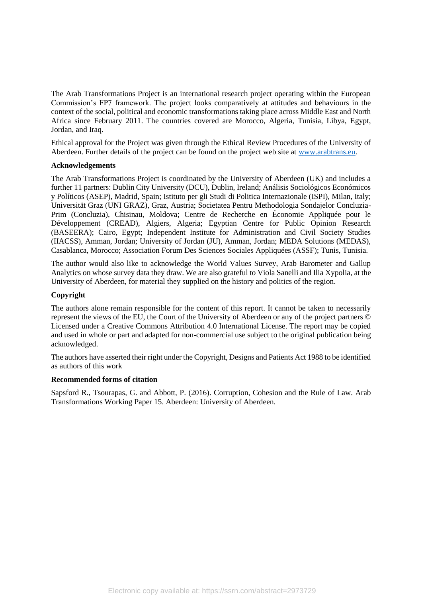The Arab Transformations Project is an international research project operating within the European Commission's FP7 framework. The project looks comparatively at attitudes and behaviours in the context of the social, political and economic transformations taking place across Middle East and North Africa since February 2011. The countries covered are Morocco, Algeria, Tunisia, Libya, Egypt, Jordan, and Iraq.

Ethical approval for the Project was given through the Ethical Review Procedures of the University of Aberdeen. Further details of the project can be found on the project web site at [www.arabtrans.eu.](http://www.arabtrans.eu/)

#### **Acknowledgements**

The Arab Transformations Project is coordinated by the University of Aberdeen (UK) and includes a further 11 partners: Dublin City University (DCU), Dublin, Ireland; Análisis Sociológicos Económicos y Políticos (ASEP), Madrid, Spain; Istituto per gli Studi di Politica Internazionale (ISPI), Milan, Italy; Universität Graz (UNI GRAZ), Graz, Austria; Societatea Pentru Methodologia Sondajelor Concluzia-Prim (Concluzia), Chisinau, Moldova; Centre de Recherche en Économie Appliquée pour le Développement (CREAD), Algiers, Algeria; Egyptian Centre for Public Opinion Research (BASEERA); Cairo, Egypt; Independent Institute for Administration and Civil Society Studies (IIACSS), Amman, Jordan; University of Jordan (JU), Amman, Jordan; MEDA Solutions (MEDAS), Casablanca, Morocco; Association Forum Des Sciences Sociales Appliquées (ASSF); Tunis, Tunisia.

The author would also like to acknowledge the World Values Survey, Arab Barometer and Gallup Analytics on whose survey data they draw. We are also grateful to Viola Sanelli and Ilia Xypolia, at the University of Aberdeen, for material they supplied on the history and politics of the region.

#### **Copyright**

The authors alone remain responsible for the content of this report. It cannot be taken to necessarily represent the views of the EU, the Court of the University of Aberdeen or any of the project partners © Licensed under a Creative Commons Attribution 4.0 International License. The report may be copied and used in whole or part and adapted for non-commercial use subject to the original publication being acknowledged.

The authors have asserted their right under the Copyright, Designs and Patients Act 1988 to be identified as authors of this work

#### **Recommended forms of citation**

Sapsford R., Tsourapas, G. and Abbott, P. (2016). Corruption, Cohesion and the Rule of Law. Arab Transformations Working Paper 15. Aberdeen: University of Aberdeen.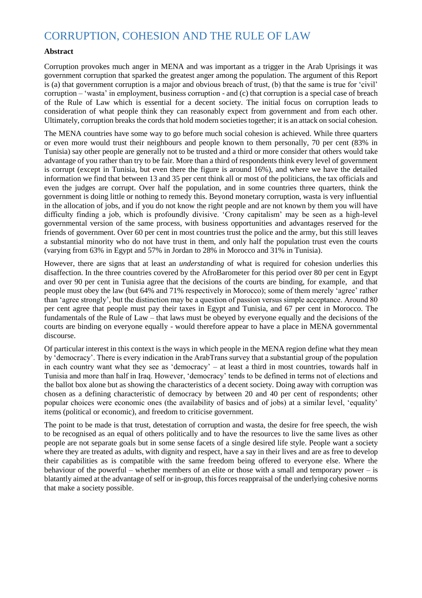# CORRUPTION, COHESION AND THE RULE OF LAW

#### **Abstract**

Corruption provokes much anger in MENA and was important as a trigger in the Arab Uprisings it was government corruption that sparked the greatest anger among the population. The argument of this Report is (a) that government corruption is a major and obvious breach of trust, (b) that the same is true for 'civil' corruption – 'wasta' in employment, business corruption - and (c) that corruption is a special case of breach of the Rule of Law which is essential for a decent society. The initial focus on corruption leads to consideration of what people think they can reasonably expect from government and from each other. Ultimately, corruption breaks the cords that hold modern societies together; it is an attack on social cohesion.

The MENA countries have some way to go before much social cohesion is achieved. While three quarters or even more would trust their neighbours and people known to them personally, 70 per cent (83% in Tunisia) say other people are generally not to be trusted and a third or more consider that others would take advantage of you rather than try to be fair. More than a third of respondents think every level of government is corrupt (except in Tunisia, but even there the figure is around 16%), and where we have the detailed information we find that between 13 and 35 per cent think all or most of the politicians, the tax officials and even the judges are corrupt. Over half the population, and in some countries three quarters, think the government is doing little or nothing to remedy this. Beyond monetary corruption, wasta is very influential in the allocation of jobs, and if you do not know the right people and are not known by them you will have difficulty finding a job, which is profoundly divisive. 'Crony capitalism' may be seen as a high-level governmental version of the same process, with business opportunities and advantages reserved for the friends of government. Over 60 per cent in most countries trust the police and the army, but this still leaves a substantial minority who do not have trust in them, and only half the population trust even the courts (varying from 63% in Egypt and 57% in Jordan to 28% in Morocco and 31% in Tunisia).

However, there are signs that at least an *understanding* of what is required for cohesion underlies this disaffection. In the three countries covered by the AfroBarometer for this period over 80 per cent in Egypt and over 90 per cent in Tunisia agree that the decisions of the courts are binding, for example, and that people must obey the law (but 64% and 71% respectively in Morocco); some of them merely 'agree' rather than 'agree strongly', but the distinction may be a question of passion versus simple acceptance. Around 80 per cent agree that people must pay their taxes in Egypt and Tunisia, and 67 per cent in Morocco. The fundamentals of the Rule of Law – that laws must be obeyed by everyone equally and the decisions of the courts are binding on everyone equally - would therefore appear to have a place in MENA governmental discourse.

Of particular interest in this context is the ways in which people in the MENA region define what they mean by 'democracy'. There is every indication in the ArabTrans survey that a substantial group of the population in each country want what they see as 'democracy' – at least a third in most countries, towards half in Tunisia and more than half in Iraq. However, 'democracy' tends to be defined in terms not of elections and the ballot box alone but as showing the characteristics of a decent society. Doing away with corruption was chosen as a defining characteristic of democracy by between 20 and 40 per cent of respondents; other popular choices were economic ones (the availability of basics and of jobs) at a similar level, 'equality' items (political or economic), and freedom to criticise government.

The point to be made is that trust, detestation of corruption and wasta, the desire for free speech, the wish to be recognised as an equal of others politically and to have the resources to live the same lives as other people are not separate goals but in some sense facets of a single desired life style. People want a society where they are treated as adults, with dignity and respect, have a say in their lives and are as free to develop their capabilities as is compatible with the same freedom being offered to everyone else. Where the behaviour of the powerful – whether members of an elite or those with a small and temporary power – is blatantly aimed at the advantage of self or in-group, this forces reappraisal of the underlying cohesive norms that make a society possible.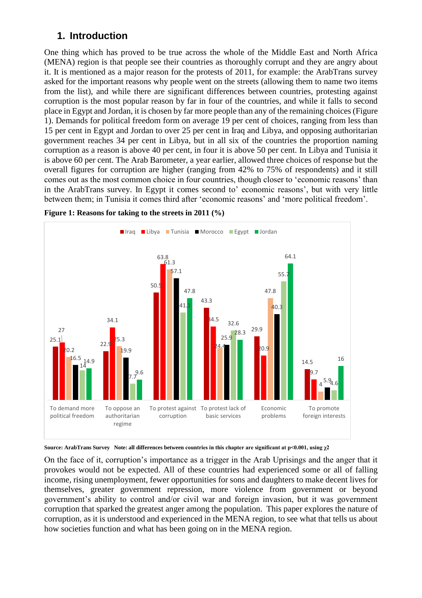## **1. Introduction**

One thing which has proved to be true across the whole of the Middle East and North Africa (MENA) region is that people see their countries as thoroughly corrupt and they are angry about it. It is mentioned as a major reason for the protests of 2011, for example: the ArabTrans survey asked for the important reasons why people went on the streets (allowing them to name two items from the list), and while there are significant differences between countries, protesting against corruption is the most popular reason by far in four of the countries, and while it falls to second place in Egypt and Jordan, it is chosen by far more people than any of the remaining choices (Figure 1). Demands for political freedom form on average 19 per cent of choices, ranging from less than 15 per cent in Egypt and Jordan to over 25 per cent in Iraq and Libya, and opposing authoritarian government reaches 34 per cent in Libya, but in all six of the countries the proportion naming corruption as a reason is above 40 per cent, in four it is above 50 per cent. In Libya and Tunisia it is above 60 per cent. The Arab Barometer, a year earlier, allowed three choices of response but the overall figures for corruption are higher (ranging from 42% to 75% of respondents) and it still comes out as the most common choice in four countries, though closer to 'economic reasons' than in the ArabTrans survey. In Egypt it comes second to' economic reasons', but with very little between them; in Tunisia it comes third after 'economic reasons' and 'more political freedom'.



**Figure 1: Reasons for taking to the streets in 2011 (%)**

**Source: ArabTrans Survey Note: all differences between countries in this chapter are significant at p<0.001, using χ2**

On the face of it, corruption's importance as a trigger in the Arab Uprisings and the anger that it provokes would not be expected. All of these countries had experienced some or all of falling income, rising unemployment, fewer opportunities for sons and daughters to make decent lives for themselves, greater government repression, more violence from government or beyond government's ability to control and/or civil war and foreign invasion, but it was government corruption that sparked the greatest anger among the population. This paper explores the nature of corruption, as it is understood and experienced in the MENA region, to see what that tells us about how societies function and what has been going on in the MENA region.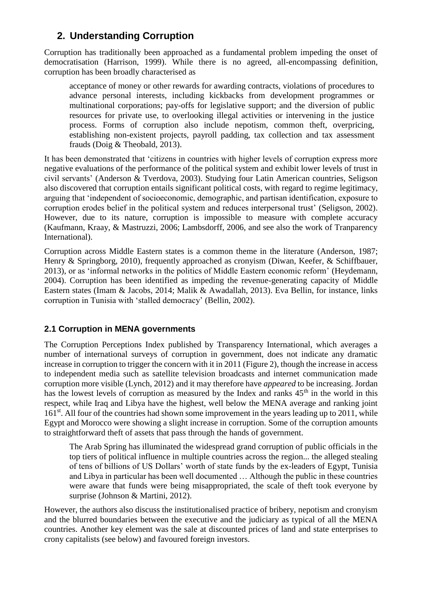# **2. Understanding Corruption**

Corruption has traditionally been approached as a fundamental problem impeding the onset of democratisation (Harrison, 1999). While there is no agreed, all-encompassing definition, corruption has been broadly characterised as

acceptance of money or other rewards for awarding contracts, violations of procedures to advance personal interests, including kickbacks from development programmes or multinational corporations; pay-offs for legislative support; and the diversion of public resources for private use, to overlooking illegal activities or intervening in the justice process. Forms of corruption also include nepotism, common theft, overpricing, establishing non-existent projects, payroll padding, tax collection and tax assessment frauds (Doig & Theobald, 2013).

It has been demonstrated that 'citizens in countries with higher levels of corruption express more negative evaluations of the performance of the political system and exhibit lower levels of trust in civil servants' (Anderson & Tverdova, 2003). Studying four Latin American countries, Seligson also discovered that corruption entails significant political costs, with regard to regime legitimacy, arguing that 'independent of socioeconomic, demographic, and partisan identification, exposure to corruption erodes belief in the political system and reduces interpersonal trust' (Seligson, 2002). However, due to its nature, corruption is impossible to measure with complete accuracy (Kaufmann, Kraay, & Mastruzzi, 2006; Lambsdorff, 2006, and see also the work of Tranparency International).

Corruption across Middle Eastern states is a common theme in the literature (Anderson, 1987; Henry & Springborg, 2010), frequently approached as cronyism (Diwan, Keefer, & Schiffbauer, 2013), or as 'informal networks in the politics of Middle Eastern economic reform' (Heydemann, 2004). Corruption has been identified as impeding the revenue-generating capacity of Middle Eastern states (Imam & Jacobs, 2014; Malik & Awadallah, 2013). Eva Bellin, for instance, links corruption in Tunisia with 'stalled democracy' (Bellin, 2002).

#### **2.1 Corruption in MENA governments**

The Corruption Perceptions Index published by Transparency International, which averages a number of international surveys of corruption in government, does not indicate any dramatic increase in corruption to trigger the concern with it in 2011 (Figure 2), though the increase in access to independent media such as satellite television broadcasts and internet communication made corruption more visible (Lynch, 2012) and it may therefore have *appeared* to be increasing. Jordan has the lowest levels of corruption as measured by the Index and ranks  $45<sup>th</sup>$  in the world in this respect, while Iraq and Libya have the highest, well below the MENA average and ranking joint 161<sup>st</sup>. All four of the countries had shown some improvement in the years leading up to 2011, while Egypt and Morocco were showing a slight increase in corruption. Some of the corruption amounts to straightforward theft of assets that pass through the hands of government.

The Arab Spring has illuminated the widespread grand corruption of public officials in the top tiers of political influence in multiple countries across the region... the alleged stealing of tens of billions of US Dollars' worth of state funds by the ex-leaders of Egypt, Tunisia and Libya in particular has been well documented … Although the public in these countries were aware that funds were being misappropriated, the scale of theft took everyone by surprise (Johnson & Martini, 2012).

However, the authors also discuss the institutionalised practice of bribery, nepotism and cronyism and the blurred boundaries between the executive and the judiciary as typical of all the MENA countries. Another key element was the sale at discounted prices of land and state enterprises to crony capitalists (see below) and favoured foreign investors.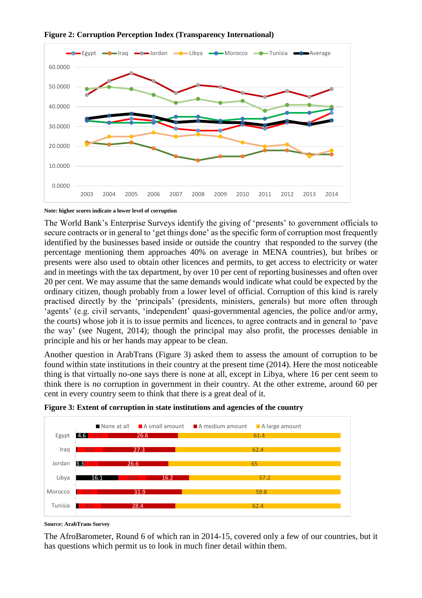

**Figure 2: Corruption Perception Index (Transparency International)**

**Note: higher scores indicate a lower level of corruption**

The World Bank's Enterprise Surveys identify the giving of 'presents' to government officials to secure contracts or in general to 'get things done' as the specific form of corruption most frequently identified by the businesses based inside or outside the country that responded to the survey (the percentage mentioning them approaches 40% on average in MENA countries), but bribes or presents were also used to obtain other licences and permits, to get access to electricity or water and in meetings with the tax department, by over 10 per cent of reporting businesses and often over 20 per cent. We may assume that the same demands would indicate what could be expected by the ordinary citizen, though probably from a lower level of official. Corruption of this kind is rarely practised directly by the 'principals' (presidents, ministers, generals) but more often through 'agents' (e.g. civil servants, 'independent' quasi-governmental agencies, the police and/or army, the courts) whose job it is to issue permits and licences, to agree contracts and in general to 'pave the way' (see Nugent, 2014); though the principal may also profit, the processes deniable in principle and his or her hands may appear to be clean.

Another question in ArabTrans (Figure 3) asked them to assess the amount of corruption to be found within state institutions in their country at the present time (2014). Here the most noticeable thing is that virtually no-one says there is none at all, except in Libya, where 16 per cent seem to think there is *no* corruption in government in their country. At the other extreme, around 60 per cent in every country seem to think that there is a great deal of it.





#### **Source: ArabTrans Survey**

The AfroBarometer, Round 6 of which ran in 2014-15, covered only a few of our countries, but it has questions which permit us to look in much finer detail within them.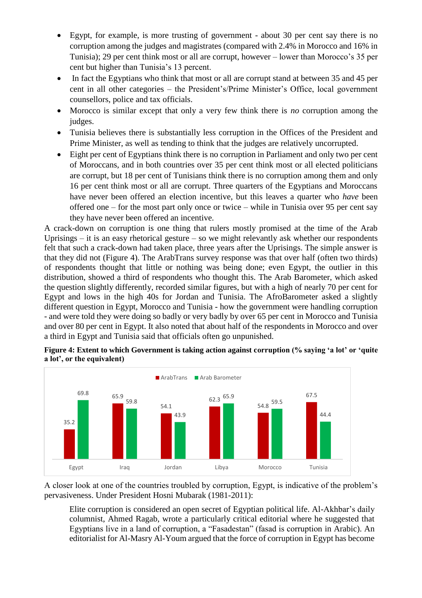- Egypt, for example, is more trusting of government about 30 per cent say there is no corruption among the judges and magistrates (compared with 2.4% in Morocco and 16% in Tunisia); 29 per cent think most or all are corrupt, however – lower than Morocco's 35 per cent but higher than Tunisia's 13 percent.
- In fact the Egyptians who think that most or all are corrupt stand at between 35 and 45 per cent in all other categories – the President's/Prime Minister's Office, local government counsellors, police and tax officials.
- Morocco is similar except that only a very few think there is *no* corruption among the judges.
- Tunisia believes there is substantially less corruption in the Offices of the President and Prime Minister, as well as tending to think that the judges are relatively uncorrupted.
- Eight per cent of Egyptians think there is no corruption in Parliament and only two per cent of Moroccans, and in both countries over 35 per cent think most or all elected politicians are corrupt, but 18 per cent of Tunisians think there is no corruption among them and only 16 per cent think most or all are corrupt. Three quarters of the Egyptians and Moroccans have never been offered an election incentive, but this leaves a quarter who *have* been offered one – for the most part only once or twice – while in Tunisia over 95 per cent say they have never been offered an incentive.

A crack-down on corruption is one thing that rulers mostly promised at the time of the Arab Uprisings  $-$  it is an easy rhetorical gesture  $-$  so we might relevantly ask whether our respondents felt that such a crack-down had taken place, three years after the Uprisings. The simple answer is that they did not (Figure 4). The ArabTrans survey response was that over half (often two thirds) of respondents thought that little or nothing was being done; even Egypt, the outlier in this distribution, showed a third of respondents who thought this. The Arab Barometer, which asked the question slightly differently, recorded similar figures, but with a high of nearly 70 per cent for Egypt and lows in the high 40s for Jordan and Tunisia. The AfroBarometer asked a slightly different question in Egypt, Morocco and Tunisia - how the government were handling corruption - and were told they were doing so badly or very badly by over 65 per cent in Morocco and Tunisia and over 80 per cent in Egypt. It also noted that about half of the respondents in Morocco and over a third in Egypt and Tunisia said that officials often go unpunished.

**Figure 4: Extent to which Government is taking action against corruption (% saying 'a lot' or 'quite a lot', or the equivalent)**



A closer look at one of the countries troubled by corruption, Egypt, is indicative of the problem's pervasiveness. Under President Hosni Mubarak (1981-2011):

Elite corruption is considered an open secret of Egyptian political life. Al-Akhbar's daily columnist, Ahmed Ragab, wrote a particularly critical editorial where he suggested that Egyptians live in a land of corruption, a "Fasadestan" (fasad is corruption in Arabic). An editorialist for Al-Masry Al-Youm argued that the force of corruption in Egypt has become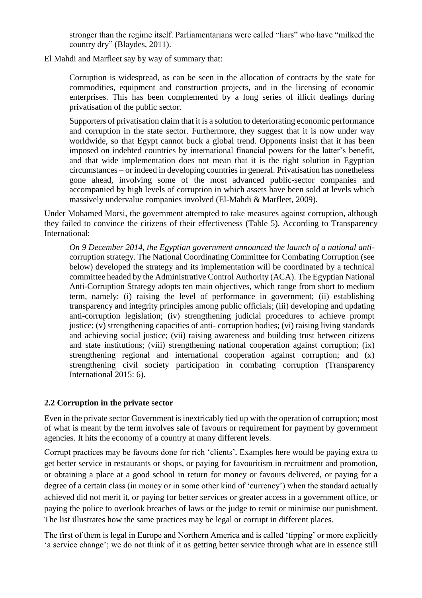stronger than the regime itself. Parliamentarians were called "liars" who have "milked the country dry" (Blaydes, 2011).

El Mahdi and Marfleet say by way of summary that:

Corruption is widespread, as can be seen in the allocation of contracts by the state for commodities, equipment and construction projects, and in the licensing of economic enterprises. This has been complemented by a long series of illicit dealings during privatisation of the public sector.

Supporters of privatisation claim that it is a solution to deteriorating economic performance and corruption in the state sector. Furthermore, they suggest that it is now under way worldwide, so that Egypt cannot buck a global trend. Opponents insist that it has been imposed on indebted countries by international financial powers for the latter's benefit, and that wide implementation does not mean that it is the right solution in Egyptian circumstances – or indeed in developing countries in general. Privatisation has nonetheless gone ahead, involving some of the most advanced public-sector companies and accompanied by high levels of corruption in which assets have been sold at levels which massively undervalue companies involved (El-Mahdi & Marfleet, 2009).

Under Mohamed Morsi, the government attempted to take measures against corruption, although they failed to convince the citizens of their effectiveness (Table 5). According to Transparency International:

*On 9 December 2014, the Egyptian government announced the launch of a national anti*corruption strategy. The National Coordinating Committee for Combating Corruption (see below) developed the strategy and its implementation will be coordinated by a technical committee headed by the Administrative Control Authority (ACA). The Egyptian National Anti-Corruption Strategy adopts ten main objectives, which range from short to medium term, namely: (i) raising the level of performance in government; (ii) establishing transparency and integrity principles among public officials; (iii) developing and updating anti-corruption legislation; (iv) strengthening judicial procedures to achieve prompt justice; (v) strengthening capacities of anti- corruption bodies; (vi) raising living standards and achieving social justice; (vii) raising awareness and building trust between citizens and state institutions; (viii) strengthening national cooperation against corruption; (ix) strengthening regional and international cooperation against corruption; and (x) strengthening civil society participation in combating corruption (Transparency International 2015: 6).

#### **2.2 Corruption in the private sector**

Even in the private sector Government is inextricably tied up with the operation of corruption; most of what is meant by the term involves sale of favours or requirement for payment by government agencies. It hits the economy of a country at many different levels.

Corrupt practices may be favours done for rich 'clients'*.* Examples here would be paying extra to get better service in restaurants or shops, or paying for favouritism in recruitment and promotion, or obtaining a place at a good school in return for money or favours delivered, or paying for a degree of a certain class (in money or in some other kind of 'currency') when the standard actually achieved did not merit it, or paying for better services or greater access in a government office, or paying the police to overlook breaches of laws or the judge to remit or minimise our punishment. The list illustrates how the same practices may be legal or corrupt in different places.

The first of them is legal in Europe and Northern America and is called 'tipping' or more explicitly 'a service change'; we do not think of it as getting better service through what are in essence still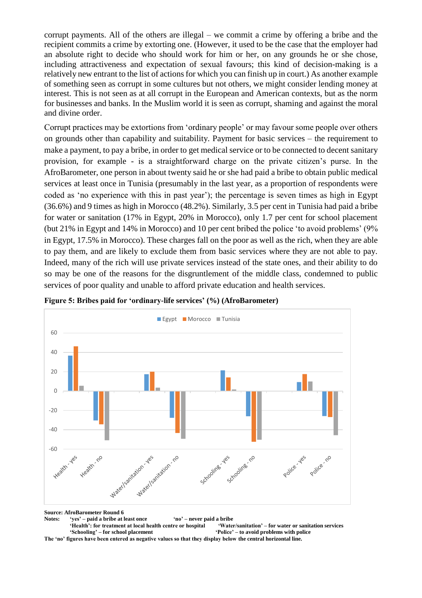corrupt payments. All of the others are illegal – we commit a crime by offering a bribe and the recipient commits a crime by extorting one. (However, it used to be the case that the employer had an absolute right to decide who should work for him or her, on any grounds he or she chose, including attractiveness and expectation of sexual favours; this kind of decision-making is a relatively new entrant to the list of actions for which you can finish up in court.) As another example of something seen as corrupt in some cultures but not others, we might consider lending money at interest. This is not seen as at all corrupt in the European and American contexts, but as the norm for businesses and banks. In the Muslim world it is seen as corrupt, shaming and against the moral and divine order.

Corrupt practices may be extortions from 'ordinary people' or may favour some people over others on grounds other than capability and suitability. Payment for basic services – the requirement to make a payment, to pay a bribe, in order to get medical service or to be connected to decent sanitary provision, for example - is a straightforward charge on the private citizen's purse. In the AfroBarometer, one person in about twenty said he or she had paid a bribe to obtain public medical services at least once in Tunisia (presumably in the last year, as a proportion of respondents were coded as 'no experience with this in past year'); the percentage is seven times as high in Egypt (36.6%) and 9 times as high in Morocco (48.2%). Similarly, 3.5 per cent in Tunisia had paid a bribe for water or sanitation (17% in Egypt, 20% in Morocco), only 1.7 per cent for school placement (but 21% in Egypt and 14% in Morocco) and 10 per cent bribed the police 'to avoid problems' (9% in Egypt, 17.5% in Morocco). These charges fall on the poor as well as the rich, when they are able to pay them, and are likely to exclude them from basic services where they are not able to pay. Indeed, many of the rich will use private services instead of the state ones, and their ability to do so may be one of the reasons for the disgruntlement of the middle class, condemned to public services of poor quality and unable to afford private education and health services.



**Figure 5: Bribes paid for 'ordinary-life services' (%) (AfroBarometer)**

**Source: AfroBarometer Round 6**

**Notes: 'yes' – paid a bribe at least once 'no' – never paid a bribe**

**'Health': for treatment at local health centre or hospital 'Water/sanitation' – for water or sanitation services 'Schooling' – for school placement 'Police' – to avoid problems with police The 'no' figures have been entered as negative values so that they display below the central horizontal line.**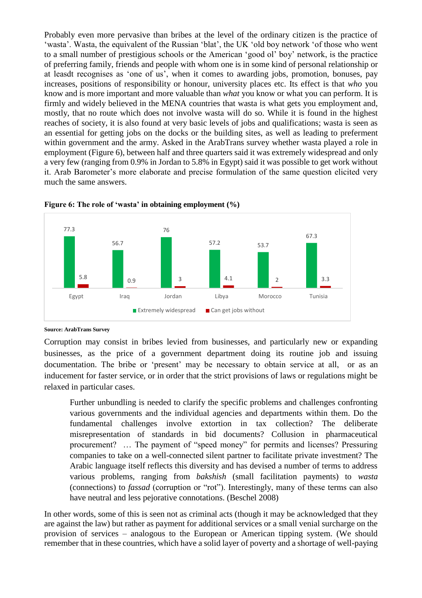Probably even more pervasive than bribes at the level of the ordinary citizen is the practice of 'wasta'. Wasta, the equivalent of the Russian 'blat', the UK 'old boy network 'of those who went to a small number of prestigious schools or the American 'good ol' boy' network, is the practice of preferring family, friends and people with whom one is in some kind of personal relationship or at leasdt recognises as 'one of us', when it comes to awarding jobs, promotion, bonuses, pay increases, positions of responsibility or honour, university places etc. Its effect is that *who* you know and is more important and more valuable than *what* you know or what you can perform. It is firmly and widely believed in the MENA countries that wasta is what gets you employment and, mostly, that no route which does not involve wasta will do so. While it is found in the highest reaches of society, it is also found at very basic levels of jobs and qualifications; wasta is seen as an essential for getting jobs on the docks or the building sites, as well as leading to preferment within government and the army. Asked in the ArabTrans survey whether wasta played a role in employment (Figure 6), between half and three quarters said it was extremely widespread and only a very few (ranging from 0.9% in Jordan to 5.8% in Egypt) said it was possible to get work without it. Arab Barometer's more elaborate and precise formulation of the same question elicited very much the same answers.





#### **Source: ArabTrans Survey**

Corruption may consist in bribes levied from businesses, and particularly new or expanding businesses, as the price of a government department doing its routine job and issuing documentation. The bribe or 'present' may be necessary to obtain service at all, or as an inducement for faster service, or in order that the strict provisions of laws or regulations might be relaxed in particular cases.

Further unbundling is needed to clarify the specific problems and challenges confronting various governments and the individual agencies and departments within them. Do the fundamental challenges involve extortion in tax collection? The deliberate misrepresentation of standards in bid documents? Collusion in pharmaceutical procurement? … The payment of "speed money" for permits and licenses? Pressuring companies to take on a well-connected silent partner to facilitate private investment? The Arabic language itself reflects this diversity and has devised a number of terms to address various problems, ranging from *bakshish* (small facilitation payments) to *wasta*  (connections) to *fassad* (corruption or "rot"). Interestingly, many of these terms can also have neutral and less pejorative connotations. (Beschel 2008)

In other words, some of this is seen not as criminal acts (though it may be acknowledged that they are against the law) but rather as payment for additional services or a small venial surcharge on the provision of services – analogous to the European or American tipping system. (We should remember that in these countries, which have a solid layer of poverty and a shortage of well-paying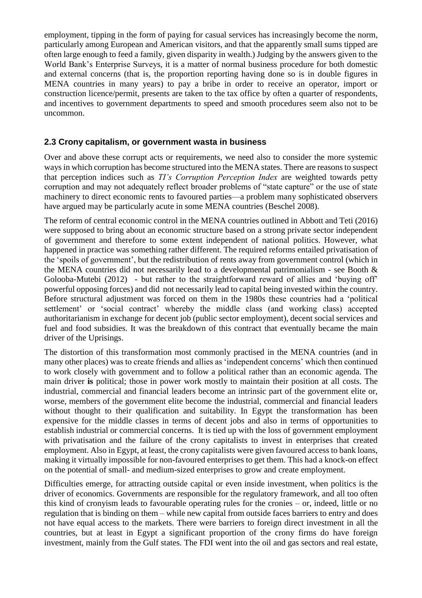employment, tipping in the form of paying for casual services has increasingly become the norm, particularly among European and American visitors, and that the apparently small sums tipped are often large enough to feed a family, given disparity in wealth.) Judging by the answers given to the World Bank's Enterprise Surveys, it is a matter of normal business procedure for both domestic and external concerns (that is, the proportion reporting having done so is in double figures in MENA countries in many years) to pay a bribe in order to receive an operator, import or construction licence/permit, presents are taken to the tax office by often a quarter of respondents, and incentives to government departments to speed and smooth procedures seem also not to be uncommon.

#### **2.3 Crony capitalism, or government wasta in business**

Over and above these corrupt acts or requirements, we need also to consider the more systemic ways in which corruption has become structured into the MENA states. There are reasons to suspect that perception indices such as *TI's Corruption Perception Index* are weighted towards petty corruption and may not adequately reflect broader problems of "state capture" or the use of state machinery to direct economic rents to favoured parties—a problem many sophisticated observers have argued may be particularly acute in some MENA countries (Beschel 2008).

The reform of central economic control in the MENA countries outlined in Abbott and Teti (2016) were supposed to bring about an economic structure based on a strong private sector independent of government and therefore to some extent independent of national politics. However, what happened in practice was something rather different. The required reforms entailed privatisation of the 'spoils of government', but the redistribution of rents away from government control (which in the MENA countries did not necessarily lead to a developmental patrimonialism - see Booth & Golooba-Mutebi (2012) - but rather to the straightforward reward of allies and 'buying off' powerful opposing forces) and did not necessarily lead to capital being invested within the country. Before structural adjustment was forced on them in the 1980s these countries had a 'political settlement' or 'social contract' whereby the middle class (and working class) accepted authoritarianism in exchange for decent job (public sector employment), decent social services and fuel and food subsidies. It was the breakdown of this contract that eventually became the main driver of the Uprisings.

The distortion of this transformation most commonly practised in the MENA countries (and in many other places) was to create friends and allies as 'independent concerns' which then continued to work closely with government and to follow a political rather than an economic agenda. The main driver **is** political; those in power work mostly to maintain their position at all costs. The industrial, commercial and financial leaders become an intrinsic part of the government elite or, worse, members of the government elite become the industrial, commercial and financial leaders without thought to their qualification and suitability. In Egypt the transformation has been expensive for the middle classes in terms of decent jobs and also in terms of opportunities to establish industrial or commercial concerns. It is tied up with the loss of government employment with privatisation and the failure of the crony capitalists to invest in enterprises that created employment. Also in Egypt, at least, the crony capitalists were given favoured access to bank loans, making it virtually impossible for non-favoured enterprises to get them. This had a knock-on effect on the potential of small- and medium-sized enterprises to grow and create employment.

Difficulties emerge, for attracting outside capital or even inside investment, when politics is the driver of economics. Governments are responsible for the regulatory framework, and all too often this kind of cronyism leads to favourable operating rules for the cronies – or, indeed, little or no regulation that is binding on them – while new capital from outside faces barriers to entry and does not have equal access to the markets. There were barriers to foreign direct investment in all the countries, but at least in Egypt a significant proportion of the crony firms do have foreign investment, mainly from the Gulf states. The FDI went into the oil and gas sectors and real estate,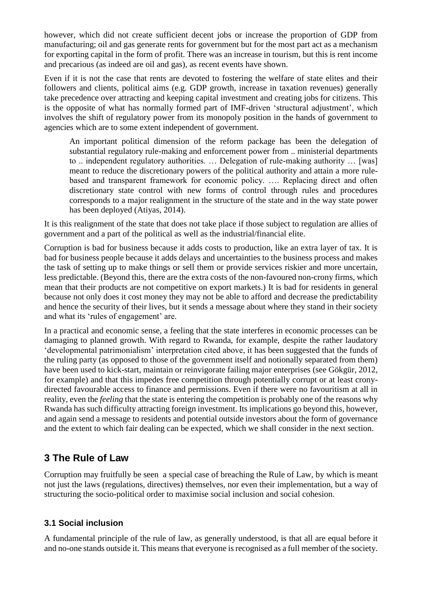however, which did not create sufficient decent jobs or increase the proportion of GDP from manufacturing; oil and gas generate rents for government but for the most part act as a mechanism for exporting capital in the form of profit. There was an increase in tourism, but this is rent income and precarious (as indeed are oil and gas), as recent events have shown.

Even if it is not the case that rents are devoted to fostering the welfare of state elites and their followers and clients, political aims (e.g. GDP growth, increase in taxation revenues) generally take precedence over attracting and keeping capital investment and creating jobs for citizens. This is the opposite of what has normally formed part of IMF-driven 'structural adjustment', which involves the shift of regulatory power from its monopoly position in the hands of government to agencies which are to some extent independent of government.

An important political dimension of the reform package has been the delegation of substantial regulatory rule-making and enforcement power from .. ministerial departments to .. independent regulatory authorities. … Delegation of rule-making authority … [was] meant to reduce the discretionary powers of the political authority and attain a more rulebased and transparent framework for economic policy. …. Replacing direct and often discretionary state control with new forms of control through rules and procedures corresponds to a major realignment in the structure of the state and in the way state power has been deployed (Atiyas, 2014).

It is this realignment of the state that does not take place if those subject to regulation are allies of government and a part of the political as well as the industrial/financial elite.

Corruption is bad for business because it adds costs to production, like an extra layer of tax. It is bad for business people because it adds delays and uncertainties to the business process and makes the task of setting up to make things or sell them or provide services riskier and more uncertain, less predictable. (Beyond this, there are the extra costs of the non-favoured non-crony firms, which mean that their products are not competitive on export markets.) It is bad for residents in general because not only does it cost money they may not be able to afford and decrease the predictability and hence the security of their lives, but it sends a message about where they stand in their society and what its 'rules of engagement' are.

In a practical and economic sense, a feeling that the state interferes in economic processes can be damaging to planned growth. With regard to Rwanda, for example, despite the rather laudatory 'developmental patrimonialism' interpretation cited above, it has been suggested that the funds of the ruling party (as opposed to those of the government itself and notionally separated from them) have been used to kick-start, maintain or reinvigorate failing major enterprises (see Gökgür, 2012, for example) and that this impedes free competition through potentially corrupt or at least cronydirected favourable access to finance and permissions. Even if there were no favouritism at all in reality, even the *feeling* that the state is entering the competition is probably one of the reasons why Rwanda has such difficulty attracting foreign investment. Its implications go beyond this, however, and again send a message to residents and potential outside investors about the form of governance and the extent to which fair dealing can be expected, which we shall consider in the next section.

## **3 The Rule of Law**

Corruption may fruitfully be seen a special case of breaching the Rule of Law, by which is meant not just the laws (regulations, directives) themselves, nor even their implementation, but a way of structuring the socio-political order to maximise social inclusion and social cohesion.

#### **3.1 Social inclusion**

A fundamental principle of the rule of law, as generally understood, is that all are equal before it and no-one stands outside it. This means that everyone is recognised as a full member of the society.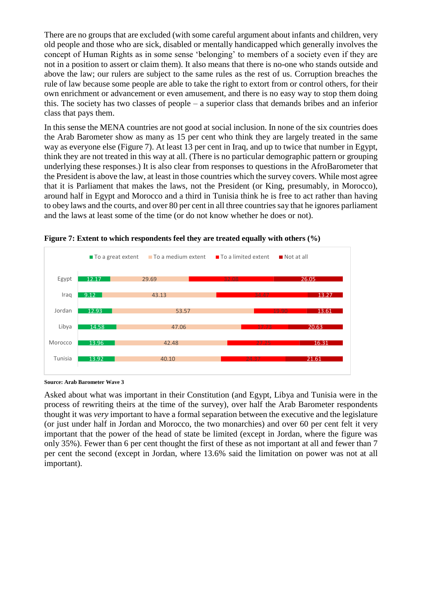There are no groups that are excluded (with some careful argument about infants and children, very old people and those who are sick, disabled or mentally handicapped which generally involves the concept of Human Rights as in some sense 'belonging' to members of a society even if they are not in a position to assert or claim them). It also means that there is no-one who stands outside and above the law; our rulers are subject to the same rules as the rest of us. Corruption breaches the rule of law because some people are able to take the right to extort from or control others, for their own enrichment or advancement or even amusement, and there is no easy way to stop them doing this. The society has two classes of people – a superior class that demands bribes and an inferior class that pays them.

In this sense the MENA countries are not good at social inclusion. In none of the six countries does the Arab Barometer show as many as 15 per cent who think they are largely treated in the same way as everyone else (Figure 7). At least 13 per cent in Iraq, and up to twice that number in Egypt, think they are not treated in this way at all. (There is no particular demographic pattern or grouping underlying these responses.) It is also clear from responses to questions in the AfroBarometer that the President is above the law, at least in those countries which the survey covers. While most agree that it is Parliament that makes the laws, not the President (or King, presumably, in Morocco), around half in Egypt and Morocco and a third in Tunisia think he is free to act rather than having to obey laws and the courts, and over 80 per cent in all three countries say that he ignores parliament and the laws at least some of the time (or do not know whether he does or not).



**Figure 7: Extent to which respondents feel they are treated equally with others (%)**

**Source: Arab Barometer Wave 3**

Asked about what was important in their Constitution (and Egypt, Libya and Tunisia were in the process of rewriting theirs at the time of the survey), over half the Arab Barometer respondents thought it was *very* important to have a formal separation between the executive and the legislature (or just under half in Jordan and Morocco, the two monarchies) and over 60 per cent felt it very important that the power of the head of state be limited (except in Jordan, where the figure was only 35%). Fewer than 6 per cent thought the first of these as not important at all and fewer than 7 per cent the second (except in Jordan, where 13.6% said the limitation on power was not at all important).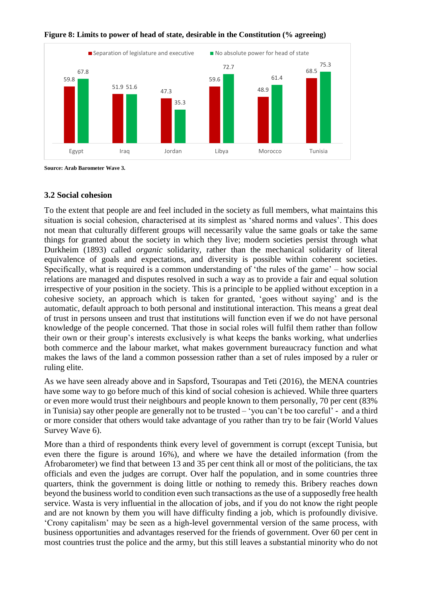

**Figure 8: Limits to power of head of state, desirable in the Constitution (% agreeing)**

**Source: Arab Barometer Wave 3.**

#### **3.2 Social cohesion**

To the extent that people are and feel included in the society as full members, what maintains this situation is social cohesion, characterised at its simplest as 'shared norms and values'. This does not mean that culturally different groups will necessarily value the same goals or take the same things for granted about the society in which they live; modern societies persist through what Durkheim (1893) called *organic* solidarity, rather than the mechanical solidarity of literal equivalence of goals and expectations, and diversity is possible within coherent societies. Specifically, what is required is a common understanding of 'the rules of the game' – how social relations are managed and disputes resolved in such a way as to provide a fair and equal solution irrespective of your position in the society. This is a principle to be applied without exception in a cohesive society, an approach which is taken for granted, 'goes without saying' and is the automatic, default approach to both personal and institutional interaction. This means a great deal of trust in persons unseen and trust that institutions will function even if we do not have personal knowledge of the people concerned. That those in social roles will fulfil them rather than follow their own or their group's interests exclusively is what keeps the banks working, what underlies both commerce and the labour market, what makes government bureaucracy function and what makes the laws of the land a common possession rather than a set of rules imposed by a ruler or ruling elite.

As we have seen already above and in Sapsford, Tsourapas and Teti (2016), the MENA countries have some way to go before much of this kind of social cohesion is achieved. While three quarters or even more would trust their neighbours and people known to them personally, 70 per cent (83% in Tunisia) say other people are generally not to be trusted – 'you can't be too careful' - and a third or more consider that others would take advantage of you rather than try to be fair (World Values Survey Wave 6).

More than a third of respondents think every level of government is corrupt (except Tunisia, but even there the figure is around 16%), and where we have the detailed information (from the Afrobarometer) we find that between 13 and 35 per cent think all or most of the politicians, the tax officials and even the judges are corrupt. Over half the population, and in some countries three quarters, think the government is doing little or nothing to remedy this. Bribery reaches down beyond the business world to condition even such transactions as the use of a supposedly free health service. Wasta is very influential in the allocation of jobs, and if you do not know the right people and are not known by them you will have difficulty finding a job, which is profoundly divisive. 'Crony capitalism' may be seen as a high-level governmental version of the same process, with business opportunities and advantages reserved for the friends of government. Over 60 per cent in most countries trust the police and the army, but this still leaves a substantial minority who do not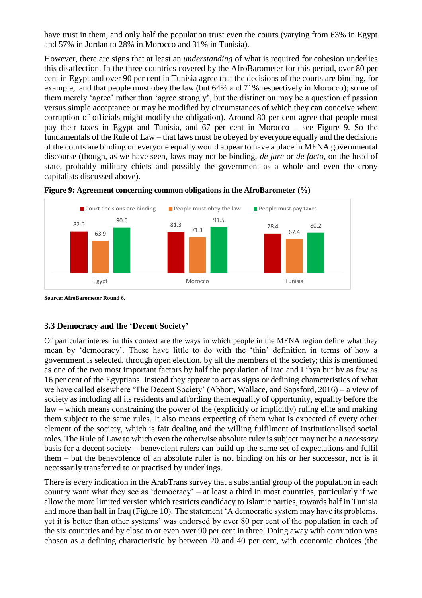have trust in them, and only half the population trust even the courts (varying from 63% in Egypt and 57% in Jordan to 28% in Morocco and 31% in Tunisia).

However, there are signs that at least an *understanding* of what is required for cohesion underlies this disaffection. In the three countries covered by the AfroBarometer for this period, over 80 per cent in Egypt and over 90 per cent in Tunisia agree that the decisions of the courts are binding, for example, and that people must obey the law (but 64% and 71% respectively in Morocco); some of them merely 'agree' rather than 'agree strongly', but the distinction may be a question of passion versus simple acceptance or may be modified by circumstances of which they can conceive where corruption of officials might modify the obligation). Around 80 per cent agree that people must pay their taxes in Egypt and Tunisia, and 67 per cent in Morocco – see Figure 9. So the fundamentals of the Rule of Law – that laws must be obeyed by everyone equally and the decisions of the courts are binding on everyone equally would appear to have a place in MENA governmental discourse (though, as we have seen, laws may not be binding, *de jure* or *de facto*, on the head of state, probably military chiefs and possibly the government as a whole and even the crony capitalists discussed above).





**Source: AfroBarometer Round 6.**

#### **3.3 Democracy and the 'Decent Society'**

Of particular interest in this context are the ways in which people in the MENA region define what they mean by 'democracy'. These have little to do with the 'thin' definition in terms of how a government is selected, through open election, by all the members of the society; this is mentioned as one of the two most important factors by half the population of Iraq and Libya but by as few as 16 per cent of the Egyptians. Instead they appear to act as signs or defining characteristics of what we have called elsewhere 'The Decent Society' (Abbott, Wallace, and Sapsford, 2016) – a view of society as including all its residents and affording them equality of opportunity, equality before the law – which means constraining the power of the (explicitly or implicitly) ruling elite and making them subject to the same rules. It also means expecting of them what is expected of every other element of the society, which is fair dealing and the willing fulfilment of institutionalised social roles. The Rule of Law to which even the otherwise absolute ruler is subject may not be a *necessary*  basis for a decent society – benevolent rulers can build up the same set of expectations and fulfil them – but the benevolence of an absolute ruler is not binding on his or her successor, nor is it necessarily transferred to or practised by underlings.

There is every indication in the ArabTrans survey that a substantial group of the population in each country want what they see as 'democracy' – at least a third in most countries, particularly if we allow the more limited version which restricts candidacy to Islamic parties, towards half in Tunisia and more than half in Iraq (Figure 10). The statement 'A democratic system may have its problems, yet it is better than other systems' was endorsed by over 80 per cent of the population in each of the six countries and by close to or even over 90 per cent in three. Doing away with corruption was chosen as a defining characteristic by between 20 and 40 per cent, with economic choices (the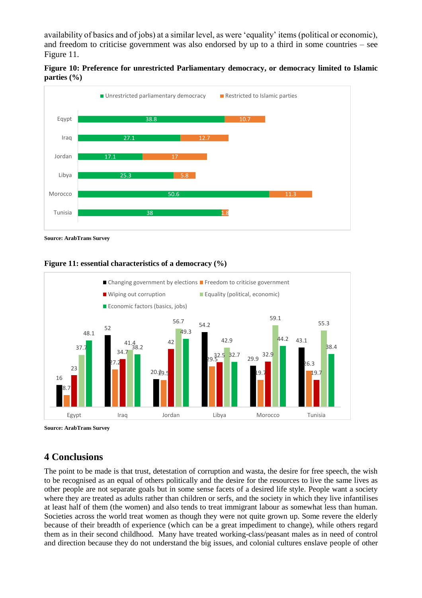availability of basics and of jobs) at a similar level, as were 'equality' items (political or economic), and freedom to criticise government was also endorsed by up to a third in some countries – see Figure 11.





**Source: ArabTrans Survey**



#### **Figure 11: essential characteristics of a democracy (%)**

**Source: ArabTrans Survey**

#### **4 Conclusions**

The point to be made is that trust, detestation of corruption and wasta, the desire for free speech, the wish to be recognised as an equal of others politically and the desire for the resources to live the same lives as other people are not separate goals but in some sense facets of a desired life style. People want a society where they are treated as adults rather than children or serfs, and the society in which they live infantilises at least half of them (the women) and also tends to treat immigrant labour as somewhat less than human. Societies across the world treat women as though they were not quite grown up. Some revere the elderly because of their breadth of experience (which can be a great impediment to change), while others regard them as in their second childhood. Many have treated working-class/peasant males as in need of control and direction because they do not understand the big issues, and colonial cultures enslave people of other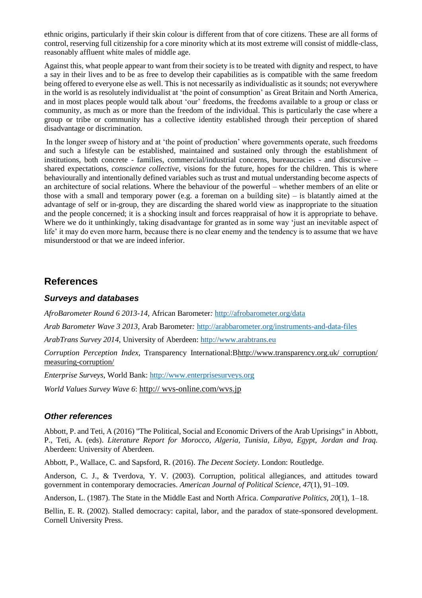ethnic origins, particularly if their skin colour is different from that of core citizens. These are all forms of control, reserving full citizenship for a core minority which at its most extreme will consist of middle-class, reasonably affluent white males of middle age.

Against this, what people appear to want from their society is to be treated with dignity and respect, to have a say in their lives and to be as free to develop their capabilities as is compatible with the same freedom being offered to everyone else as well. This is not necessarily as individualistic as it sounds; not everywhere in the world is as resolutely individualist at 'the point of consumption' as Great Britain and North America, and in most places people would talk about 'our' freedoms, the freedoms available to a group or class or community, as much as or more than the freedom of the individual. This is particularly the case where a group or tribe or community has a collective identity established through their perception of shared disadvantage or discrimination.

In the longer sweep of history and at 'the point of production' where governments operate, such freedoms and such a lifestyle can be established, maintained and sustained only through the establishment of institutions, both concrete - families, commercial/industrial concerns, bureaucracies - and discursive – shared expectations, *conscience collective*, visions for the future, hopes for the children. This is where behaviourally and intentionally defined variables such as trust and mutual understanding become aspects of an architecture of social relations. Where the behaviour of the powerful – whether members of an elite or those with a small and temporary power (e.g. a foreman on a building site) – is blatantly aimed at the advantage of self or in-group, they are discarding the shared world view as inappropriate to the situation and the people concerned; it is a shocking insult and forces reappraisal of how it is appropriate to behave. Where we do it unthinkingly, taking disadvantage for granted as in some way 'just an inevitable aspect of life' it may do even more harm, because there is no clear enemy and the tendency is to assume that we have misunderstood or that we are indeed inferior.

### **References**

#### *Surveys and databases*

*AfroBarometer Round 6 2013-14,* African Barometer*:* <http://afrobarometer.org/data>

*Arab Barometer Wave 3 2013,* Arab Barometer*:* <http://arabbarometer.org/instruments-and-data-files>

*ArabTrans Survey 2014*, University of Aberdeen: [http://www.arabtrans.eu](http://www.arabtrans.eu/)

*Corruption Perception Index,* Transparency International:[Bhttp://www.transparency.org.uk/ corruption/](http://www.transparency.org.uk/%20corruption/%20measuring-corruption/)  [measuring-corruption/](http://www.transparency.org.uk/%20corruption/%20measuring-corruption/)

*Enterprise Surveys*, World Bank: [http://www.enterprisesurveys.org](http://www.enterprisesurveys.org/)

*World Values Survey Wave 6*: http:// wvs-online.com/wvs.jp

#### *Other references*

Abbott, P. and Teti, A (2016) "The Political, Social and Economic Drivers of the Arab Uprisings" in Abbott, P., Teti, A. (eds). *Literature Report for Morocco, Algeria, Tunisia, Libya, Egypt, Jordan and Iraq.*  Aberdeen: University of Aberdeen.

Abbott, P., Wallace, C. and Sapsford, R. (2016). *The Decent Society*. London: Routledge.

Anderson, C. J., & Tverdova, Y. V. (2003). Corruption, political allegiances, and attitudes toward government in contemporary democracies. *American Journal of Political Science*, *47*(1), 91–109.

Anderson, L. (1987). The State in the Middle East and North Africa. *Comparative Politics*, *20*(1), 1–18.

Bellin, E. R. (2002). Stalled democracy: capital, labor, and the paradox of state-sponsored development. Cornell University Press.